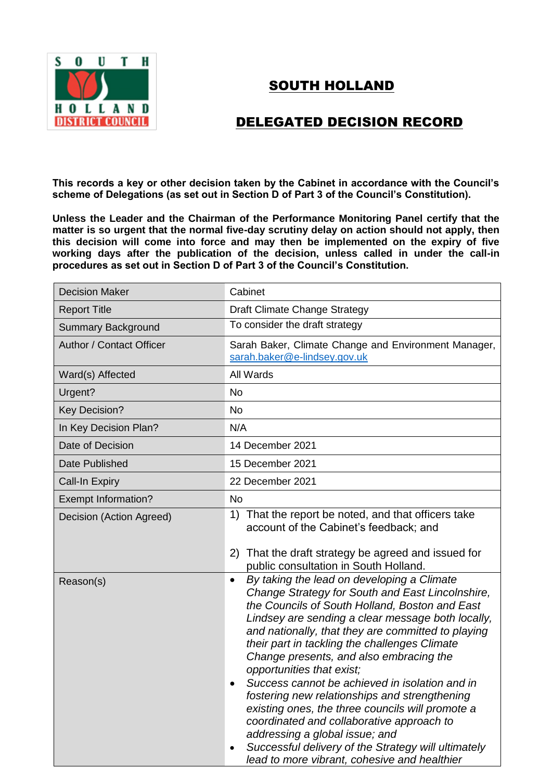

## SOUTH HOLLAND

## DELEGATED DECISION RECORD

**This records a key or other decision taken by the Cabinet in accordance with the Council's scheme of Delegations (as set out in Section D of Part 3 of the Council's Constitution).**

**Unless the Leader and the Chairman of the Performance Monitoring Panel certify that the matter is so urgent that the normal five-day scrutiny delay on action should not apply, then this decision will come into force and may then be implemented on the expiry of five working days after the publication of the decision, unless called in under the call-in procedures as set out in Section D of Part 3 of the Council's Constitution.**

| <b>Decision Maker</b>      | Cabinet                                                                                                                                                                                                                                                                                                                                                                                                                                                                                                                                                                                                                                                                                                                                        |
|----------------------------|------------------------------------------------------------------------------------------------------------------------------------------------------------------------------------------------------------------------------------------------------------------------------------------------------------------------------------------------------------------------------------------------------------------------------------------------------------------------------------------------------------------------------------------------------------------------------------------------------------------------------------------------------------------------------------------------------------------------------------------------|
| <b>Report Title</b>        | Draft Climate Change Strategy                                                                                                                                                                                                                                                                                                                                                                                                                                                                                                                                                                                                                                                                                                                  |
| <b>Summary Background</b>  | To consider the draft strategy                                                                                                                                                                                                                                                                                                                                                                                                                                                                                                                                                                                                                                                                                                                 |
| Author / Contact Officer   | Sarah Baker, Climate Change and Environment Manager,<br>sarah.baker@e-lindsey.gov.uk                                                                                                                                                                                                                                                                                                                                                                                                                                                                                                                                                                                                                                                           |
| Ward(s) Affected           | All Wards                                                                                                                                                                                                                                                                                                                                                                                                                                                                                                                                                                                                                                                                                                                                      |
| Urgent?                    | <b>No</b>                                                                                                                                                                                                                                                                                                                                                                                                                                                                                                                                                                                                                                                                                                                                      |
| <b>Key Decision?</b>       | <b>No</b>                                                                                                                                                                                                                                                                                                                                                                                                                                                                                                                                                                                                                                                                                                                                      |
| In Key Decision Plan?      | N/A                                                                                                                                                                                                                                                                                                                                                                                                                                                                                                                                                                                                                                                                                                                                            |
| Date of Decision           | 14 December 2021                                                                                                                                                                                                                                                                                                                                                                                                                                                                                                                                                                                                                                                                                                                               |
| Date Published             | 15 December 2021                                                                                                                                                                                                                                                                                                                                                                                                                                                                                                                                                                                                                                                                                                                               |
| <b>Call-In Expiry</b>      | 22 December 2021                                                                                                                                                                                                                                                                                                                                                                                                                                                                                                                                                                                                                                                                                                                               |
| <b>Exempt Information?</b> | <b>No</b>                                                                                                                                                                                                                                                                                                                                                                                                                                                                                                                                                                                                                                                                                                                                      |
| Decision (Action Agreed)   | 1) That the report be noted, and that officers take<br>account of the Cabinet's feedback; and<br>2) That the draft strategy be agreed and issued for<br>public consultation in South Holland.                                                                                                                                                                                                                                                                                                                                                                                                                                                                                                                                                  |
| Reason(s)                  | By taking the lead on developing a Climate<br>$\bullet$<br>Change Strategy for South and East Lincolnshire,<br>the Councils of South Holland, Boston and East<br>Lindsey are sending a clear message both locally,<br>and nationally, that they are committed to playing<br>their part in tackling the challenges Climate<br>Change presents, and also embracing the<br>opportunities that exist;<br>Success cannot be achieved in isolation and in<br>fostering new relationships and strengthening<br>existing ones, the three councils will promote a<br>coordinated and collaborative approach to<br>addressing a global issue; and<br>Successful delivery of the Strategy will ultimately<br>lead to more vibrant, cohesive and healthier |